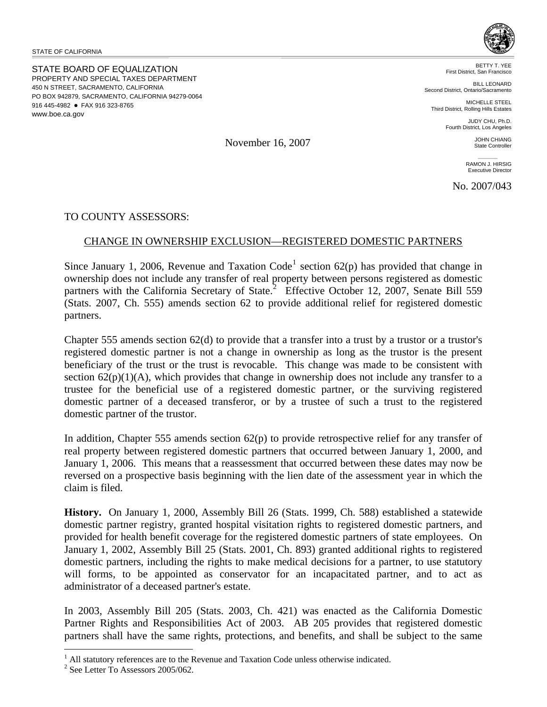STATE OF CALIFORNIA

STATE BOARD OF EQUALIZATION PROPERTY AND SPECIAL TAXES DEPARTMENT 450 N STREET, SACRAMENTO, CALIFORNIA PO BOX 942879, SACRAMENTO, CALIFORNIA 94279-0064 916 445-4982 • FAX 916 323-8765 www.boe.ca.gov



BETTY T. YEE First District, San Francisco

BILL LEONARD Second District, Ontario/Sacramento

MICHELLE STEEL Third District, Rolling Hills Estates

> JUDY CHU, Ph.D. Fourth District, Los Angeles

November 16, 2007

RAMON J. HIRSIG Executive Director

JOHN CHIANG State Controller

No. 2007/043

TO COUNTY ASSESSORS:

## CHANGE IN OWNERSHIP EXCLUSION—REGISTERED DOMESTIC PARTNERS

Since January [1](#page-0-0), 2006, Revenue and Taxation Code<sup>1</sup> section  $62(p)$  has provided that change in ownership does not include any transfer of real property between persons registered as domestic partners with the California Secretary of State.<sup>[2](#page-0-1)</sup> Effective October 12, 2007, Senate Bill 559 (Stats. 2007, Ch. 555) amends section 62 to provide additional relief for registered domestic partners.

Chapter 555 amends section 62(d) to provide that a transfer into a trust by a trustor or a trustor's registered domestic partner is not a change in ownership as long as the trustor is the present beneficiary of the trust or the trust is revocable. This change was made to be consistent with section  $62(p)(1)(A)$ , which provides that change in ownership does not include any transfer to a trustee for the beneficial use of a registered domestic partner, or the surviving registered domestic partner of a deceased transferor, or by a trustee of such a trust to the registered domestic partner of the trustor.

In addition, Chapter 555 amends section 62(p) to provide retrospective relief for any transfer of real property between registered domestic partners that occurred between January 1, 2000, and January 1, 2006. This means that a reassessment that occurred between these dates may now be reversed on a prospective basis beginning with the lien date of the assessment year in which the claim is filed.

**History.** On January 1, 2000, Assembly Bill 26 (Stats. 1999, Ch. 588) established a statewide domestic partner registry, granted hospital visitation rights to registered domestic partners, and provided for health benefit coverage for the registered domestic partners of state employees. On January 1, 2002, Assembly Bill 25 (Stats. 2001, Ch. 893) granted additional rights to registered domestic partners, including the rights to make medical decisions for a partner, to use statutory will forms, to be appointed as conservator for an incapacitated partner, and to act as administrator of a deceased partner's estate.

In 2003, Assembly Bill 205 (Stats. 2003, Ch. 421) was enacted as the California Domestic Partner Rights and Responsibilities Act of 2003. AB 205 provides that registered domestic partners shall have the same rights, protections, and benefits, and shall be subject to the same

 $\overline{a}$ 

<span id="page-0-0"></span><sup>&</sup>lt;sup>1</sup> All statutory references are to the Revenue and Taxation Code unless otherwise indicated.<br><sup>2</sup> See Latter To Assessors 2005/062

<span id="page-0-1"></span> $2$  See Letter To Assessors 2005/062.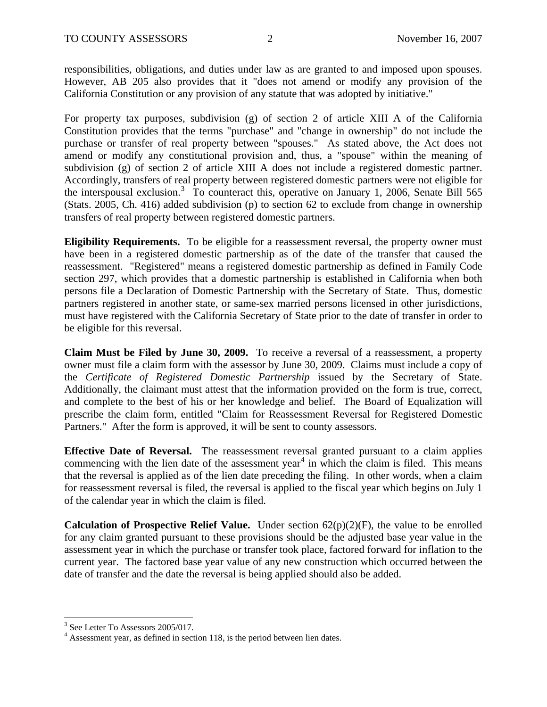responsibilities, obligations, and duties under law as are granted to and imposed upon spouses. However, AB 205 also provides that it "does not amend or modify any provision of the California Constitution or any provision of any statute that was adopted by initiative."

For property tax purposes, subdivision (g) of section 2 of article XIII A of the California Constitution provides that the terms "purchase" and "change in ownership" do not include the purchase or transfer of real property between "spouses." As stated above, the Act does not amend or modify any constitutional provision and, thus, a "spouse" within the meaning of subdivision (g) of section 2 of article XIII A does not include a registered domestic partner. Accordingly, transfers of real property between registered domestic partners were not eligible for the interspousal exclusion.<sup>[3](#page-1-0)</sup> To counteract this, operative on January 1, 2006, Senate Bill 565 (Stats. 2005, Ch. 416) added subdivision (p) to section 62 to exclude from change in ownership transfers of real property between registered domestic partners.

**Eligibility Requirements.** To be eligible for a reassessment reversal, the property owner must have been in a registered domestic partnership as of the date of the transfer that caused the reassessment. "Registered" means a registered domestic partnership as defined in Family Code section 297, which provides that a domestic partnership is established in California when both persons file a Declaration of Domestic Partnership with the Secretary of State. Thus, domestic partners registered in another state, or same-sex married persons licensed in other jurisdictions, must have registered with the California Secretary of State prior to the date of transfer in order to be eligible for this reversal.

**Claim Must be Filed by June 30, 2009.** To receive a reversal of a reassessment, a property owner must file a claim form with the assessor by June 30, 2009. Claims must include a copy of the *Certificate of Registered Domestic Partnership* issued by the Secretary of State. Additionally, the claimant must attest that the information provided on the form is true, correct, and complete to the best of his or her knowledge and belief. The Board of Equalization will prescribe the claim form, entitled "Claim for Reassessment Reversal for Registered Domestic Partners." After the form is approved, it will be sent to county assessors.

**Effective Date of Reversal.** The reassessment reversal granted pursuant to a claim applies commencing with the lien date of the assessment year<sup>[4](#page-1-1)</sup> in which the claim is filed. This means that the reversal is applied as of the lien date preceding the filing. In other words, when a claim for reassessment reversal is filed, the reversal is applied to the fiscal year which begins on July 1 of the calendar year in which the claim is filed.

**Calculation of Prospective Relief Value.** Under section 62(p)(2)(F), the value to be enrolled for any claim granted pursuant to these provisions should be the adjusted base year value in the assessment year in which the purchase or transfer took place, factored forward for inflation to the current year. The factored base year value of any new construction which occurred between the date of transfer and the date the reversal is being applied should also be added.

 $\overline{a}$ 

<span id="page-1-0"></span><sup>3</sup> See Letter To Assessors 2005/017.

<span id="page-1-1"></span> $4$  Assessment year, as defined in section 118, is the period between lien dates.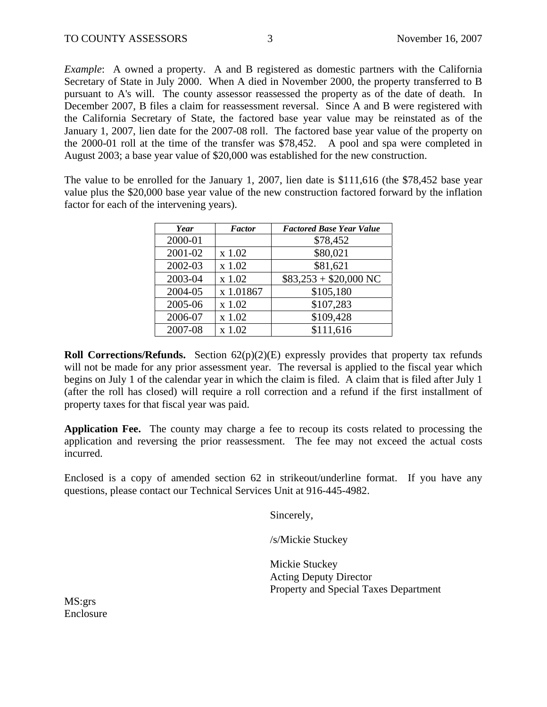*Example*: A owned a property. A and B registered as domestic partners with the California Secretary of State in July 2000. When A died in November 2000, the property transferred to B pursuant to A's will. The county assessor reassessed the property as of the date of death. In December 2007, B files a claim for reassessment reversal. Since A and B were registered with the California Secretary of State, the factored base year value may be reinstated as of the January 1, 2007, lien date for the 2007-08 roll. The factored base year value of the property on the 2000-01 roll at the time of the transfer was \$78,452. A pool and spa were completed in August 2003; a base year value of \$20,000 was established for the new construction.

The value to be enrolled for the January 1, 2007, lien date is \$111,616 (the \$78,452 base year value plus the \$20,000 base year value of the new construction factored forward by the inflation factor for each of the intervening years).

| Year    | <b>Factor</b> | <b>Factored Base Year Value</b> |
|---------|---------------|---------------------------------|
| 2000-01 |               | \$78,452                        |
| 2001-02 | $x$ 1.02      | \$80,021                        |
| 2002-03 | x 1.02        | \$81,621                        |
| 2003-04 | x 1.02        | $$83,253 + $20,000$ NC          |
| 2004-05 | x 1.01867     | \$105,180                       |
| 2005-06 | x 1.02        | \$107,283                       |
| 2006-07 | x 1.02        | \$109,428                       |
| 2007-08 | x 1.02        | \$111,616                       |

**Roll Corrections/Refunds.** Section 62(p)(2)(E) expressly provides that property tax refunds will not be made for any prior assessment year. The reversal is applied to the fiscal year which begins on July 1 of the calendar year in which the claim is filed. A claim that is filed after July 1 (after the roll has closed) will require a roll correction and a refund if the first installment of property taxes for that fiscal year was paid.

**Application Fee.** The county may charge a fee to recoup its costs related to processing the application and reversing the prior reassessment. The fee may not exceed the actual costs incurred.

Enclosed is a copy of amended section 62 in strikeout/underline format. If you have any questions, please contact our Technical Services Unit at 916-445-4982.

Sincerely,

/s/Mickie Stuckey

 Mickie Stuckey Acting Deputy Director Property and Special Taxes Department

MS:grs Enclosure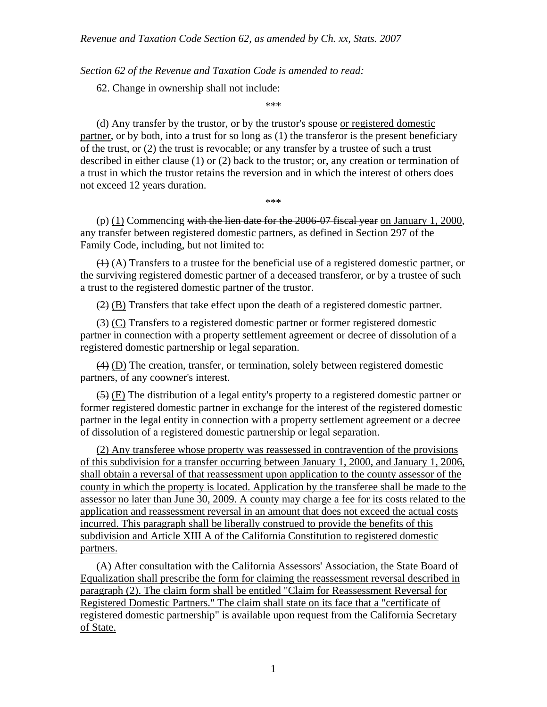*Section 62 of the Revenue and Taxation Code is amended to read:* 

62. Change in ownership shall not include:

\*\*\*

(d) Any transfer by the trustor, or by the trustor's spouse or registered domestic partner, or by both, into a trust for so long as (1) the transferor is the present beneficiary of the trust, or (2) the trust is revocable; or any transfer by a trustee of such a trust described in either clause (1) or (2) back to the trustor; or, any creation or termination of a trust in which the trustor retains the reversion and in which the interest of others does not exceed 12 years duration.

\*\*\*

(p)  $(1)$  Commencing with the lien date for the 2006-07 fiscal year on January 1, 2000, any transfer between registered domestic partners, as defined in Section 297 of the Family Code, including, but not limited to:

 $(1)$  (A) Transfers to a trustee for the beneficial use of a registered domestic partner, or the surviving registered domestic partner of a deceased transferor, or by a trustee of such a trust to the registered domestic partner of the trustor.

 $(2)$  (B) Transfers that take effect upon the death of a registered domestic partner.

 $\left(\frac{3}{2}\right)$  (C) Transfers to a registered domestic partner or former registered domestic partner in connection with a property settlement agreement or decree of dissolution of a registered domestic partnership or legal separation.

(4) (D) The creation, transfer, or termination, solely between registered domestic partners, of any coowner's interest.

 $(5)$  (E) The distribution of a legal entity's property to a registered domestic partner or former registered domestic partner in exchange for the interest of the registered domestic partner in the legal entity in connection with a property settlement agreement or a decree of dissolution of a registered domestic partnership or legal separation.

(2) Any transferee whose property was reassessed in contravention of the provisions of this subdivision for a transfer occurring between January 1, 2000, and January 1, 2006, shall obtain a reversal of that reassessment upon application to the county assessor of the county in which the property is located. Application by the transferee shall be made to the assessor no later than June 30, 2009. A county may charge a fee for its costs related to the application and reassessment reversal in an amount that does not exceed the actual costs incurred. This paragraph shall be liberally construed to provide the benefits of this subdivision and Article XIII A of the California Constitution to registered domestic partners.

(A) After consultation with the California Assessors' Association, the State Board of Equalization shall prescribe the form for claiming the reassessment reversal described in paragraph (2). The claim form shall be entitled "Claim for Reassessment Reversal for Registered Domestic Partners." The claim shall state on its face that a "certificate of registered domestic partnership" is available upon request from the California Secretary of State.